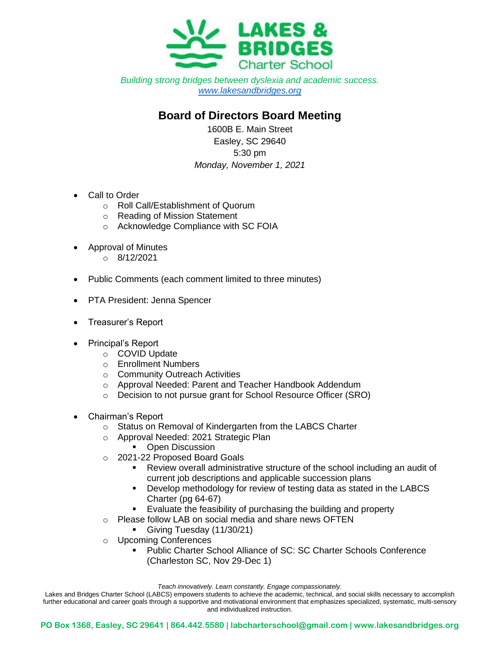

*Building strong bridges between dyslexia and academic success. [www.lakesandbridges.org](http://www.lakesandbridges.org/)*

## **Board of Directors Board Meeting**

1600B E. Main Street Easley, SC 29640 5:30 pm *Monday, November 1, 2021*

- Call to Order
	- o Roll Call/Establishment of Quorum
	- o Reading of Mission Statement
	- o Acknowledge Compliance with SC FOIA
- Approval of Minutes
	- $O = 8/12/2021$
- Public Comments (each comment limited to three minutes)
- PTA President: Jenna Spencer
- Treasurer's Report
- Principal's Report
	- o COVID Update
	- o Enrollment Numbers
	- o Community Outreach Activities
	- o Approval Needed: Parent and Teacher Handbook Addendum
	- o Decision to not pursue grant for School Resource Officer (SRO)
- Chairman's Report
	- o Status on Removal of Kindergarten from the LABCS Charter
	- o Approval Needed: 2021 Strategic Plan
		- Open Discussion
	- o 2021-22 Proposed Board Goals
		- Review overall administrative structure of the school including an audit of current job descriptions and applicable succession plans
		- Develop methodology for review of testing data as stated in the LABCS Charter (pg 64-67)
		- Evaluate the feasibility of purchasing the building and property
	- o Please follow LAB on social media and share news OFTEN
		- Giving Tuesday (11/30/21)
	- o Upcoming Conferences
		- Public Charter School Alliance of SC: SC Charter Schools Conference (Charleston SC, Nov 29-Dec 1)

*Teach innovatively. Learn constantly. Engage compassionately*.

Lakes and Bridges Charter School (LABCS) empowers students to achieve the academic, technical, and social skills necessary to accomplish further educational and career goals through a supportive and motivational environment that emphasizes specialized, systematic, multi-sensory and individualized instruction.

**PO Box 1368, Easley, SC 29641 | 864.442.5580 | labcharterschool@gmail.com | www.lakesandbridges.org**